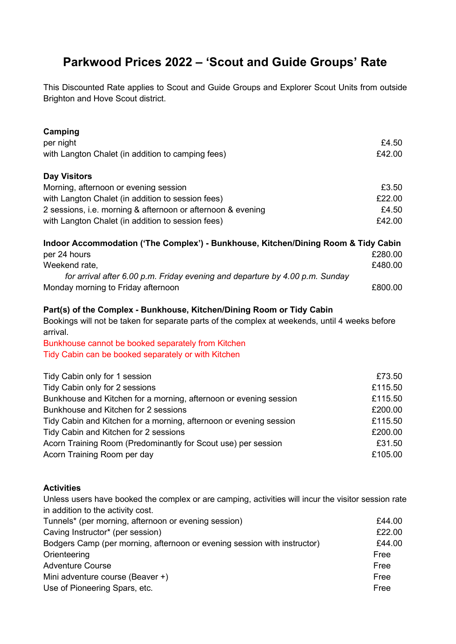## **Parkwood Prices 2022 – 'Scout and Guide Groups' Rate**

This Discounted Rate applies to Scout and Guide Groups and Explorer Scout Units from outside Brighton and Hove Scout district.

| Camping                                                                                                    |         |
|------------------------------------------------------------------------------------------------------------|---------|
| per night                                                                                                  | £4.50   |
| with Langton Chalet (in addition to camping fees)                                                          | £42.00  |
| <b>Day Visitors</b>                                                                                        |         |
| Morning, afternoon or evening session                                                                      | £3.50   |
| with Langton Chalet (in addition to session fees)                                                          | £22.00  |
| 2 sessions, i.e. morning & afternoon or afternoon & evening                                                | £4.50   |
| with Langton Chalet (in addition to session fees)                                                          | £42.00  |
| Indoor Accommodation ('The Complex') - Bunkhouse, Kitchen/Dining Room & Tidy Cabin                         |         |
| per 24 hours                                                                                               | £280.00 |
| Weekend rate,                                                                                              | £480.00 |
| for arrival after 6.00 p.m. Friday evening and departure by 4.00 p.m. Sunday                               |         |
| Monday morning to Friday afternoon                                                                         | £800.00 |
| Part(s) of the Complex - Bunkhouse, Kitchen/Dining Room or Tidy Cabin                                      |         |
| Bookings will not be taken for separate parts of the complex at weekends, until 4 weeks before<br>arrival. |         |
| Bunkhouse cannot be booked separately from Kitchen                                                         |         |
| Tidy Cabin can be booked separately or with Kitchen                                                        |         |
| Tidy Cabin only for 1 session                                                                              | £73.50  |
| Tidy Cabin only for 2 sessions                                                                             | £115.50 |
| Bunkhouse and Kitchen for a morning, afternoon or evening session                                          | £115.50 |
| Bunkhouse and Kitchen for 2 sessions                                                                       | £200.00 |
| Tidy Cabin and Kitchen for a morning, afternoon or evening session                                         | £115.50 |
| Tidy Cabin and Kitchen for 2 sessions                                                                      | £200.00 |
| Acorn Training Room (Predominantly for Scout use) per session                                              | £31.50  |
| Acorn Training Room per day                                                                                | £105.00 |
|                                                                                                            |         |

## **Activities**

Unless users have booked the complex or are camping, activities will incur the visitor session rate in addition to the activity cost.

| Tunnels* (per morning, afternoon or evening session)                     | £44.00 |
|--------------------------------------------------------------------------|--------|
| Caving Instructor* (per session)                                         | £22.00 |
| Bodgers Camp (per morning, afternoon or evening session with instructor) | £44.00 |
| Orienteering                                                             | Free   |
| <b>Adventure Course</b>                                                  | Free   |
| Mini adventure course (Beaver +)                                         | Free   |
| Use of Pioneering Spars, etc.                                            | Free   |